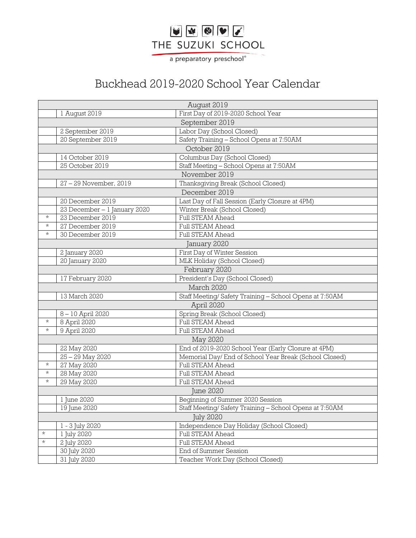## VVIII THE SUZUKI SCHOOL

a preparatory preschool®

## Buckhead 2019-2020 School Year Calendar

| August 2019      |                              |                                                         |
|------------------|------------------------------|---------------------------------------------------------|
|                  | 1 August 2019                | First Day of 2019-2020 School Year                      |
|                  |                              | September 2019                                          |
|                  | 2 September 2019             | Labor Day (School Closed)                               |
|                  | 20 September 2019            | Safety Training - School Opens at 7:50AM                |
| October 2019     |                              |                                                         |
|                  | 14 October 2019              | Columbus Day (School Closed)                            |
|                  | 25 October 2019              | Staff Meeting - School Opens at 7:50AM                  |
| November 2019    |                              |                                                         |
|                  | 27 - 29 November, 2019       | Thanksgiving Break (School Closed)                      |
| December 2019    |                              |                                                         |
|                  | 20 December 2019             | Last Day of Fall Session (Early Closure at 4PM)         |
|                  | 23 December - 1 January 2020 | Winter Break (School Closed)                            |
| $\star$          | 23 December 2019             | Full STEAM Ahead                                        |
| $\star$          | 27 December 2019             | Full STEAM Ahead                                        |
| $^{\star}$       | 30 December 2019             | <b>Full STEAM Ahead</b>                                 |
| January 2020     |                              |                                                         |
|                  | 2 January 2020               | First Day of Winter Session                             |
|                  | 20 January 2020              | MLK Holiday (School Closed)                             |
| February 2020    |                              |                                                         |
|                  | 17 February 2020             | President's Day (School Closed)                         |
| March 2020       |                              |                                                         |
|                  | 13 March 2020                | Staff Meeting/ Safety Training - School Opens at 7:50AM |
| April 2020       |                              |                                                         |
|                  | 8-10 April 2020              | Spring Break (School Closed)                            |
| $\star$          | 8 April 2020                 | <b>Full STEAM Ahead</b>                                 |
| $\star$          | 9 April 2020                 | Full STEAM Ahead                                        |
| May 2020         |                              |                                                         |
|                  | 22 May 2020                  | End of 2019-2020 School Year (Early Closure at 4PM)     |
|                  | 25 - 29 May 2020             | Memorial Day/End of School Year Break (School Closed)   |
| $^{\star}$       | 27 May 2020                  | <b>Full STEAM Ahead</b>                                 |
| $\star$          | 28 May 2020                  | <b>Full STEAM Ahead</b>                                 |
| $^{\star}$       | 29 May 2020                  | Full STEAM Ahead                                        |
| <b>June 2020</b> |                              |                                                         |
|                  | 1 June 2020                  | Beginning of Summer 2020 Session                        |
|                  | 19 June 2020                 | Staff Meeting/ Safety Training - School Opens at 7:50AM |
| <b>July 2020</b> |                              |                                                         |
|                  | 1 - 3 July 2020              | Independence Day Holiday (School Closed)                |
| $\star$          | 1 July 2020                  | Full STEAM Ahead                                        |
| $\star$          | 2 July 2020                  | Full STEAM Ahead                                        |
|                  | 30 July 2020                 | End of Summer Session                                   |
|                  | $\overline{31}$ July 2020    | Teacher Work Day (School Closed)                        |